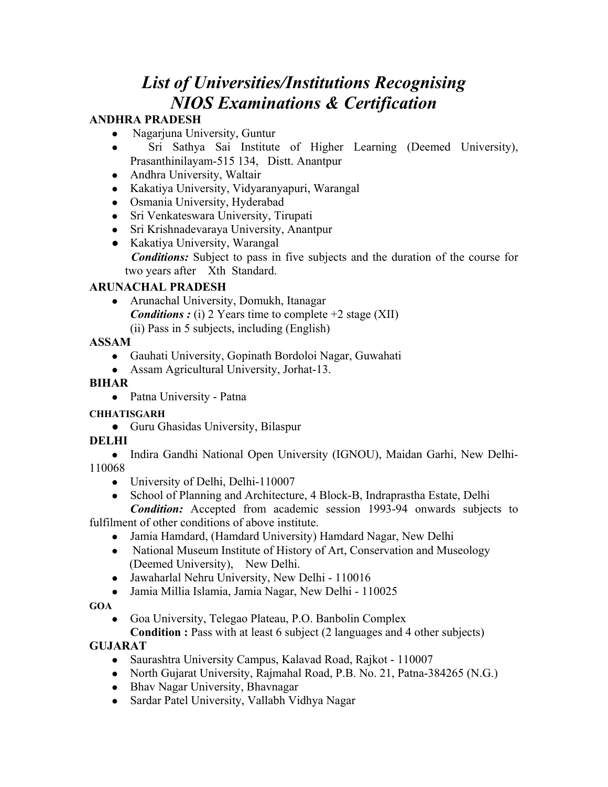# *List of Universities/Institutions Recognising NIOS Examinations & Certification*

## **ANDHRA PRADESH**

- Nagarjuna University, Guntur
- Sri Sathya Sai Institute of Higher Learning (Deemed University), Prasanthinilayam-515 134, Distt. Anantpur
- Andhra University, Waltair
- Kakatiya University, Vidyaranyapuri, Warangal
- Osmania University, Hyderabad
- Sri Venkateswara University, Tirupati
- Sri Krishnadevaraya University, Anantpur
- Kakatiya University, Warangal *Conditions:* Subject to pass in five subjects and the duration of the course for two years after Xth Standard.

## **ARUNACHAL PRADESH**

• Arunachal University, Domukh, Itanagar *Conditions : (i)* 2 Years time to complete +2 stage (XII) (ii) Pass in 5 subjects, including (English)

## **ASSAM**

- Gauhati University, Gopinath Bordoloi Nagar, Guwahati
- Assam Agricultural University, Jorhat-13.

## **BIHAR**

• Patna University - Patna

## **CHHATISGARH**

• Guru Ghasidas University, Bilaspur

## **DELHI**

• Indira Gandhi National Open University (IGNOU), Maidan Garhi, New Delhi-110068

- $\bullet$  University of Delhi, Delhi-110007
- School of Planning and Architecture, 4 Block-B, Indraprastha Estate, Delhi

*Condition:* Accepted from academic session 1993-94 onwards subjects to fulfilment of other conditions of above institute.

- Jamia Hamdard, (Hamdard University) Hamdard Nagar, New Delhi
	- National Museum Institute of History of Art, Conservation and Museology (Deemed University), New Delhi.
	- Jawaharlal Nehru University, New Delhi 110016
	- Jamia Millia Islamia, Jamia Nagar, New Delhi 110025

## **GOA**

• Goa University, Telegao Plateau, P.O. Banbolin Complex

**Condition :** Pass with at least 6 subject (2 languages and 4 other subjects)

## **GUJARAT**

- Saurashtra University Campus, Kalavad Road, Rajkot 110007
- North Gujarat University, Rajmahal Road, P.B. No. 21, Patna-384265 (N.G.)
- Bhav Nagar University, Bhavnagar
- Sardar Patel University, Vallabh Vidhya Nagar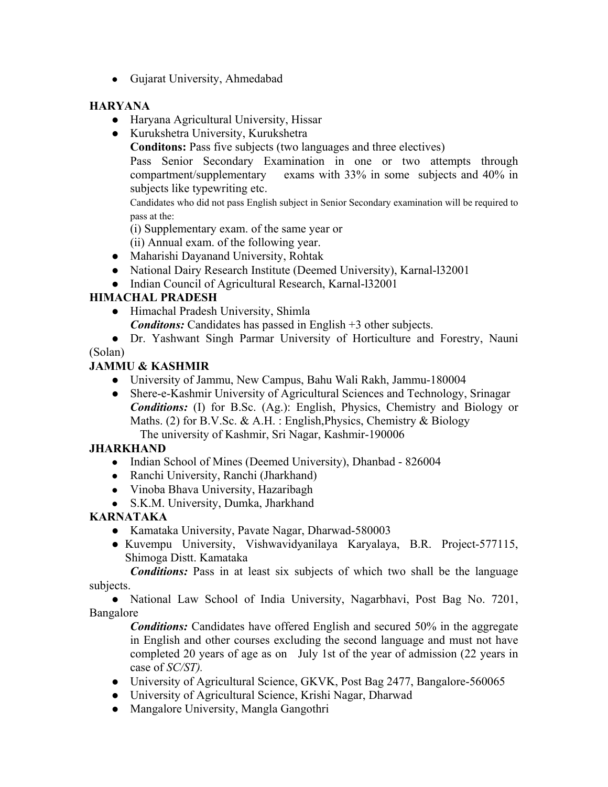• Gujarat University, Ahmedabad

## **HARYANA**

- $\bullet$  Haryana Agricultural University, Hissar
- Kurukshetra University, Kurukshetra

**Conditons:** Pass five subjects (two languages and three electives)

Pass Senior Secondary Examination in one or two attempts through compartment/supplementary exams with 33% in some subjects and 40% in subjects like typewriting etc.

Candidates who did not pass English subject in Senior Secondary examination will be required to pass at the:

(i) Supplementary exam. of the same year or

(ii) Annual exam. of the following year.

- Maharishi Dayanand University, Rohtak
- National Dairy Research Institute (Deemed University), Karnal-132001
- Indian Council of Agricultural Research, Karnal-132001

## **HIMACHAL PRADESH**

- Himachal Pradesh University, Shimla
	- *Conditons:* Candidates has passed in English +3 other subjects.
- Dr. Yashwant Singh Parmar University of Horticulture and Forestry, Nauni

(Solan)

## **JAMMU & KASHMIR**

- University of Jammu, New Campus, Bahu Wali Rakh, Jammu-180004
- Shere-e-Kashmir University of Agricultural Sciences and Technology, Srinagar *Conditions:* (I) for B.Sc. (Ag.): English, Physics, Chemistry and Biology or Maths. (2) for B.V.Sc. & A.H. : English, Physics, Chemistry & Biology The university of Kashmir, Sri Nagar, Kashmir-190006

## **JHARKHAND**

- Indian School of Mines (Deemed University), Dhanbad 826004
- Ranchi University, Ranchi (Jharkhand)
- Vinoba Bhava University, Hazaribagh
- S.K.M. University, Dumka, Jharkhand

## **KARNATAKA**

- Kamataka University, Pavate Nagar, Dharwad-580003
- Kuvempu University, Vishwavidyanilaya Karyalaya, B.R. Project-577115, Shimoga Distt. Kamataka

*Conditions:* Pass in at least six subjects of which two shall be the language subjects.

• National Law School of India University, Nagarbhavi, Post Bag No. 7201, Bangalore

*Conditions:* Candidates have offered English and secured 50% in the aggregate in English and other courses excluding the second language and must not have completed 20 years of age as on July 1st of the year of admission (22 years in case of *SC/ST).* 

- University of Agricultural Science, GKVK, Post Bag 2477, Bangalore-560065
- University of Agricultural Science, Krishi Nagar, Dharwad
- Mangalore University, Mangla Gangothri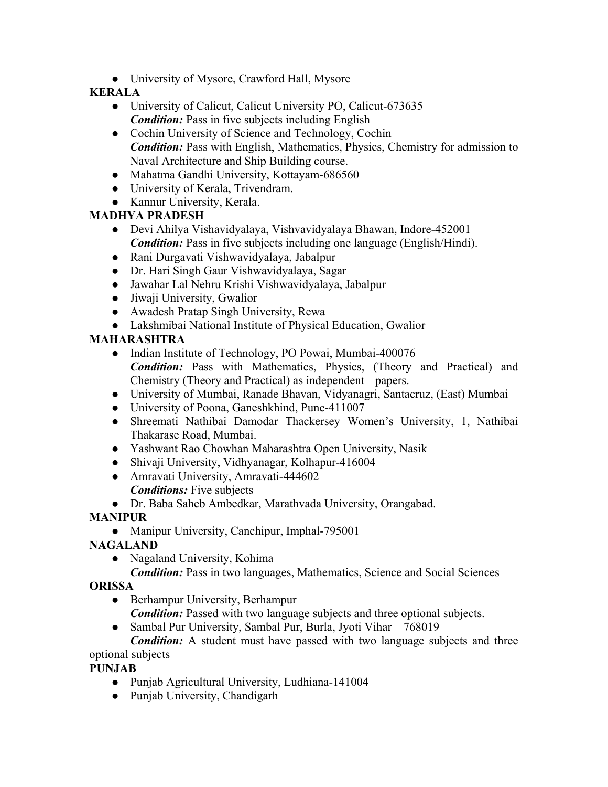• University of Mysore, Crawford Hall, Mysore

## **KERALA**

- University of Calicut, Calicut University PO, Calicut-673635 *Condition:* Pass in five subjects including English
- Cochin University of Science and Technology, Cochin *Condition:* Pass with English, Mathematics, Physics, Chemistry for admission to Naval Architecture and Ship Building course.
- Mahatma Gandhi University, Kottayam-686560
- University of Kerala, Trivendram.
- Kannur University, Kerala.

## **MADHYA PRADESH**

- Devi Ahilya Vishavidyalaya, Vishvavidyalaya Bhawan, Indore-452001 *Condition:* Pass in five subjects including one language (English/Hindi).
- Rani Durgavati Vishwavidyalaya, Jabalpur
- Dr. Hari Singh Gaur Vishwavidyalaya, Sagar
- Jawahar Lal Nehru Krishi Vishwavidyalaya, Jabalpur
- $\bullet$  Jiwaji University, Gwalior
- Awadesh Pratap Singh University, Rewa
- Lakshmibai National Institute of Physical Education, Gwalior

# **MAHARASHTRA**

- Indian Institute of Technology, PO Powai, Mumbai-400076 *Condition:* Pass with Mathematics, Physics, (Theory and Practical) and Chemistry (Theory and Practical) as independent papers.
- University of Mumbai, Ranade Bhavan, Vidyanagri, Santacruz, (East) Mumbai
- University of Poona, Ganeshkhind, Pune-411007
- Shreemati Nathibai Damodar Thackersey Women's University, 1, Nathibai Thakarase Road, Mumbai.
- Yashwant Rao Chowhan Maharashtra Open University, Nasik
- Shivaji University, Vidhyanagar, Kolhapur-416004
- Amravati University, Amravati-444602 *Conditions:* Five subjects
- Dr. Baba Saheb Ambedkar, Marathvada University, Orangabad.

## **MANIPUR**

• Manipur University, Canchipur, Imphal-795001

## **NAGALAND**

• Nagaland University, Kohima

*Condition:* Pass in two languages, Mathematics, Science and Social Sciences

## **ORISSA**

 $\bullet$  Berhampur University, Berhampur

*Condition:* Passed with two language subjects and three optional subjects.

• Sambal Pur University, Sambal Pur, Burla, Jyoti Vihar – 768019

*Condition:* A student must have passed with two language subjects and three optional subjects

## **PUNJAB**

- Punjab Agricultural University, Ludhiana-141004
- $\bullet$  Punjab University, Chandigarh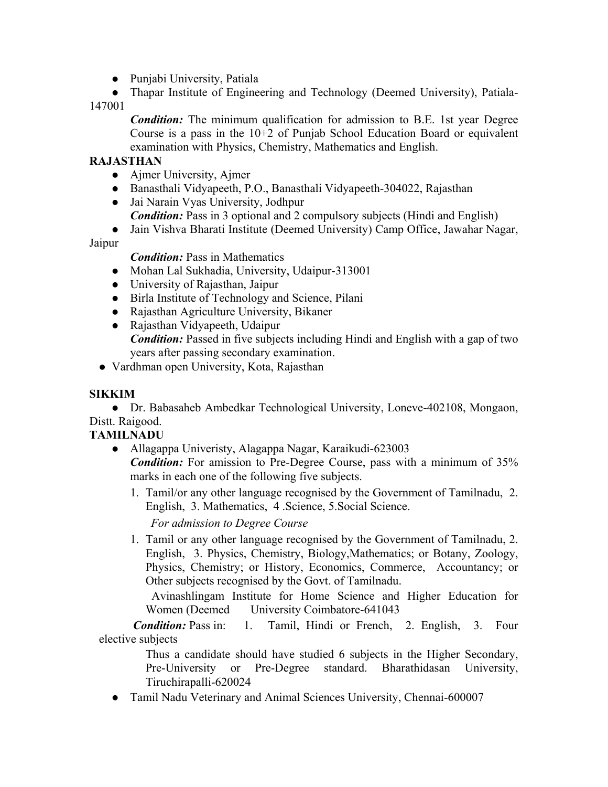- $\bullet$  Punjabi University, Patiala
- Thapar Institute of Engineering and Technology (Deemed University), Patiala-

147001

*Condition:* The minimum qualification for admission to B.E. 1st year Degree Course is a pass in the 10+2 of Punjab School Education Board or equivalent examination with Physics, Chemistry, Mathematics and English.

#### **RAJASTHAN**

- $\bullet$  Ajmer University, Ajmer
- Banasthali Vidyapeeth, P.O., Banasthali Vidyapeeth-304022, Rajasthan
- Jai Narain Vyas University, Jodhpur
	- *Condition:* Pass in 3 optional and 2 compulsory subjects (Hindi and English)
- Jain Vishva Bharati Institute (Deemed University) Camp Office, Jawahar Nagar,

Jaipur

 *Condition:* Pass in Mathematics

- Mohan Lal Sukhadia, University, Udaipur-313001
- $\bullet$  University of Rajasthan, Jaipur
- Birla Institute of Technology and Science, Pilani
- Rajasthan Agriculture University, Bikaner
- Rajasthan Vidyapeeth, Udaipur *Condition:* Passed in five subjects including Hindi and English with a gap of two years after passing secondary examination.
- Vardhman open University, Kota, Rajasthan

#### **SIKKIM**

• Dr. Babasaheb Ambedkar Technological University, Loneve-402108, Mongaon, Distt. Raigood.

## **TAMILNADU**

- Allagappa Univeristy, Alagappa Nagar, Karaikudi-623003 *Condition:* For amission to Pre-Degree Course, pass with a minimum of 35% marks in each one of the following five subjects.
	- 1. Tamil/or any other language recognised by the Government of Tamilnadu, 2. English, 3. Mathematics, 4 .Science, 5.Social Science.

*For admission to Degree Course* 

 1. Tamil or any other language recognised by the Government of Tamilnadu, 2. English, 3. Physics, Chemistry, Biology,Mathematics; or Botany, Zoology, Physics, Chemistry; or History, Economics, Commerce, Accountancy; or Other subjects recognised by the Govt. of Tamilnadu.

 Avinashlingam Institute for Home Science and Higher Education for Women (Deemed University Coimbatore-641043)

 *Condition:* Pass in: 1. Tamil, Hindi or French, 2. English, 3. Four elective subjects

> Thus a candidate should have studied 6 subjects in the Higher Secondary, Pre-University or Pre-Degree standard. Bharathidasan University, Tiruchirapalli-620024

• Tamil Nadu Veterinary and Animal Sciences University, Chennai-600007